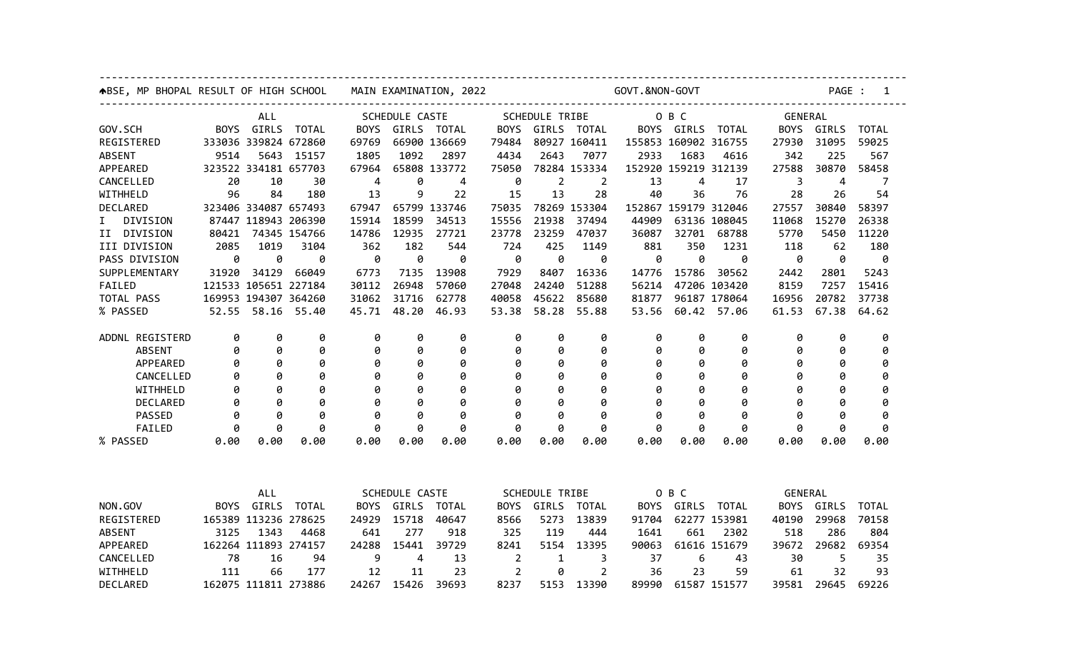|                 | ABSE, MP BHOPAL RESULT OF HIGH SCHOOL MAIN EXAMINATION, 2022 |                      |            |                                           |       |                       |                |                                                                  |                  | ---------<br>GOVT.&NON-GOVT | PAGE : 1                  |              |       |                                                   |             |  |  |
|-----------------|--------------------------------------------------------------|----------------------|------------|-------------------------------------------|-------|-----------------------|----------------|------------------------------------------------------------------|------------------|-----------------------------|---------------------------|--------------|-------|---------------------------------------------------|-------------|--|--|
|                 | . <u>.</u> .<br>ALL                                          |                      |            |                                           |       | <b>SCHEDULE CASTE</b> |                | -------------------------------------<br>SCHEDULE TRIBE<br>O B C |                  |                             |                           |              |       | --------------------------------------<br>GENERAL |             |  |  |
| GOV.SCH         |                                                              | BOYS GIRLS TOTAL     |            |                                           |       | BOYS GIRLS TOTAL      |                |                                                                  | BOYS GIRLS TOTAL |                             | BOYS GIRLS TOTAL          |              |       | BOYS GIRLS TOTAL                                  |             |  |  |
| REGISTERED      |                                                              | 333036 339824 672860 |            | 69769                                     |       | 66900 136669          | 79484          |                                                                  | 80927 160411     |                             | 155853 160902 316755      |              | 27930 | 31095                                             | 59025       |  |  |
| ABSENT          | 9514                                                         |                      | 5643 15157 | 1805                                      | 1092  | 2897                  | 4434           | 2643                                                             | 7077             | 2933                        | 1683                      | 4616         | 342   | 225                                               | 567         |  |  |
| APPEARED        |                                                              | 323522 334181 657703 |            | 67964                                     |       | 65808 133772          | 75050          |                                                                  | 78284 153334     |                             | 152920 159219 312139      |              | 27588 | 30870                                             | 58458       |  |  |
| CANCELLED       | 20                                                           | 10                   | 30         | -4                                        | 0     | 4                     | 0              | $\overline{2}$                                                   | 2                | 13                          | 4                         | 17           | 3     | 4                                                 | 7           |  |  |
| WITHHELD        | 96                                                           | 84                   | 180        | 13                                        | 9     | 22                    | 15             | 13                                                               | 28               | 40                          | 36                        | 76           | 28    | 26                                                | 54          |  |  |
| DECLARED        |                                                              | 323406 334087 657493 |            | 67947                                     |       | 65799 133746          | 75035          |                                                                  | 78269 153304     |                             | 152867 159179 312046      |              | 27557 | 30840                                             | 58397       |  |  |
| I DIVISION      |                                                              | 87447 118943 206390  |            | 15914                                     | 18599 | 34513                 | 15556          | 21938                                                            | 37494            | 44909                       |                           | 63136 108045 | 11068 | 15270                                             | 26338       |  |  |
| II DIVISION     |                                                              | 80421 74345 154766   |            | 14786                                     | 12935 | 27721                 | 23778          | 23259                                                            | 47037            | 36087                       |                           | 32701 68788  | 5770  | 5450                                              | 11220       |  |  |
| III DIVISION    | 2085                                                         | 1019                 | 3104       | 362                                       | 182   | 544                   | 724            | 425                                                              | 1149             | 881                         | 350                       | 1231         | 118   | 62                                                | 180         |  |  |
| PASS DIVISION   | 0                                                            | 0                    | 0          | $\theta$                                  | 0     | 0                     | 0              | 0                                                                | 0                | 0                           | 0                         | 0            | 0     | 0                                                 | 0           |  |  |
| SUPPLEMENTARY   |                                                              | 31920 34129          | 66049      | 6773                                      | 7135  | 13908                 | 7929           | 8407                                                             | 16336            | 14776                       | 15786                     | 30562        | 2442  | 2801                                              | 5243        |  |  |
| FAILED          |                                                              | 121533 105651 227184 |            | 30112                                     | 26948 | 57060                 | 27048          | 24240                                                            | 51288            | 56214                       |                           | 47206 103420 | 8159  | 7257                                              | 15416       |  |  |
| TOTAL PASS      |                                                              | 169953 194307 364260 |            | 31062                                     | 31716 | 62778                 | 40058          | 45622                                                            | 85680            | 81877                       |                           | 96187 178064 | 16956 | 20782                                             | 37738       |  |  |
| % PASSED        |                                                              | 52.55 58.16 55.40    |            | 45.71                                     | 48.20 | 46.93                 | 53.38          | 58.28                                                            | 55.88            |                             | 53.56 60.42 57.06         |              | 61.53 |                                                   | 67.38 64.62 |  |  |
|                 |                                                              |                      |            |                                           |       |                       |                |                                                                  |                  |                             |                           |              |       |                                                   |             |  |  |
| ADDNL REGISTERD | 0                                                            | 0                    | 0          | 0                                         | 0     | 0                     | 0              | 0                                                                | 0                | 0                           | 0                         | 0            | 0     | 0                                                 | 0           |  |  |
| <b>ABSENT</b>   | 0                                                            | 0                    | 0          | 0                                         | 0     | 0                     | 0              | 0                                                                | 0                | 0                           | 0                         | 0            | 0     | 0                                                 | 0           |  |  |
| APPEARED        | 0                                                            | 0                    | 0          | 0                                         | 0     | 0                     | 0              | 0                                                                | 0                | 0                           | 0                         | 0            | 0     | 0                                                 | 0           |  |  |
| CANCELLED       | 0                                                            | 0                    | 0          | 0                                         | 0     | 0                     | 0              | 0                                                                | 0                | 0                           | 0                         | 0            | 0     | 0                                                 | 0           |  |  |
| WITHHELD        | 0                                                            | 0                    | 0          | 0                                         | 0     | 0                     | 0              | 0                                                                | 0                | 0                           | 0                         | 0            | 0     | 0                                                 | 0           |  |  |
| DECLARED        | 0                                                            | 0                    | 0          | 0                                         | 0     | 0                     | 0              | 0                                                                | 0                |                             | 0                         | ø            | 0     |                                                   | 0           |  |  |
| PASSED          | 0                                                            | 0                    | ø          | ø                                         | 0     | ø                     | ø              | 0                                                                | ø                | ø                           | 0                         | ø            | ø     |                                                   | Ø           |  |  |
| FAILED          | 0                                                            | 0                    | 0          | 0                                         | 0     | 0                     | 0              | 0                                                                | 0                | 0                           | 0                         | 0            | 0     | 0                                                 | 0           |  |  |
| % PASSED        | 0.00                                                         | 0.00                 | 0.00       | 0.00                                      | 0.00  | 0.00                  | 0.00           | 0.00                                                             | 0.00             | 0.00                        | 0.00                      | 0.00         | 0.00  | 0.00                                              | 0.00        |  |  |
|                 |                                                              | ALL                  |            |                                           |       |                       |                |                                                                  |                  |                             |                           |              |       |                                                   |             |  |  |
| NON.GOV         |                                                              | BOYS GIRLS TOTAL     |            | <b>SCHEDULE CASTE</b><br>BOYS GIRLS TOTAL |       |                       |                | SCHEDULE TRIBE<br>BOYS GIRLS TOTAL                               |                  |                             | O B C<br>BOYS GIRLS TOTAL |              |       | GENERAL<br>BOYS GIRLS                             |             |  |  |
| REGISTERED      |                                                              | 165389 113236 278625 |            |                                           | 15718 |                       |                |                                                                  | 5273 13839       |                             |                           | 62277 153981 |       | 29968                                             | TOTAL       |  |  |
|                 |                                                              |                      |            | 24929                                     |       | 40647                 | 8566           |                                                                  |                  | 91704                       |                           |              | 40190 |                                                   | 70158       |  |  |
| ABSENT          | 3125                                                         | 1343                 | 4468       | 641                                       | 277   | 918                   | 325            | 119                                                              | 444              | 1641                        | 661                       | 2302         | 518   | 286                                               | 804         |  |  |
| APPEARED        |                                                              | 162264 111893 274157 |            | 24288                                     | 15441 | 39729                 | 8241           |                                                                  | 5154 13395       | 90063                       |                           | 61616 151679 | 39672 | 29682                                             | 69354       |  |  |
| CANCELLED       | 78<br>111                                                    | 16                   | 94         | 9                                         | 4     | 13                    | $\overline{2}$ | $\mathbf{1}$                                                     | 3                | 37                          | 6                         | 43           | 30    | 5<br>32                                           | 35          |  |  |
| WITHHELD        |                                                              | 66                   | 177        | 12                                        | 11    | 23                    | $\overline{2}$ | 0                                                                | $\overline{2}$   | 36                          | 23                        | 59           | 61    |                                                   | 93          |  |  |
| DECLARED        | 162075 111811 273886                                         |                      |            |                                           |       | 24267 15426 39693     | 8237           |                                                                  | 5153 13390       |                             | 89990 61587 151577        |              |       | 39581 29645                                       | 69226       |  |  |